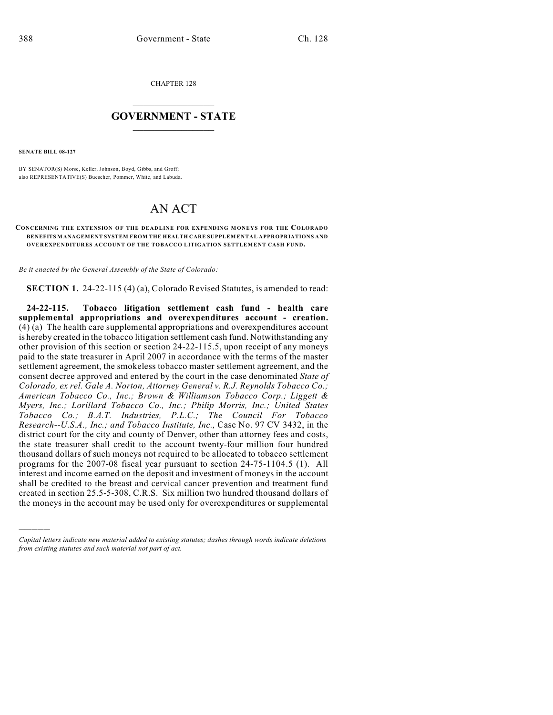CHAPTER 128

## $\overline{\phantom{a}}$  . The set of the set of the set of the set of the set of the set of the set of the set of the set of the set of the set of the set of the set of the set of the set of the set of the set of the set of the set o **GOVERNMENT - STATE**  $\_$

**SENATE BILL 08-127**

)))))

BY SENATOR(S) Morse, Keller, Johnson, Boyd, Gibbs, and Groff; also REPRESENTATIVE(S) Buescher, Pommer, White, and Labuda.

## AN ACT

## **CONCERNING THE EXTENSION OF THE DEADLINE FOR EXPENDING MONEYS FOR THE COLORADO BENEFITS MANAGEMENT SYSTEM FROM THE HEALTH CARE SUPPLEM ENTAL APPROPRIATIONS AND OVEREXPENDITURES ACCOUNT OF THE TOBACCO LITIGATION SETTLEMENT CASH FUND.**

*Be it enacted by the General Assembly of the State of Colorado:*

**SECTION 1.** 24-22-115 (4) (a), Colorado Revised Statutes, is amended to read:

**24-22-115. Tobacco litigation settlement cash fund - health care supplemental appropriations and overexpenditures account - creation.**  $(4)$  (a) The health care supplemental appropriations and overexpenditures account is hereby created in the tobacco litigation settlement cash fund. Notwithstanding any other provision of this section or section 24-22-115.5, upon receipt of any moneys paid to the state treasurer in April 2007 in accordance with the terms of the master settlement agreement, the smokeless tobacco master settlement agreement, and the consent decree approved and entered by the court in the case denominated *State of Colorado, ex rel. Gale A. Norton, Attorney General v. R.J. Reynolds Tobacco Co.; American Tobacco Co., Inc.; Brown & Williamson Tobacco Corp.; Liggett & Myers, Inc.; Lorillard Tobacco Co., Inc.; Philip Morris, Inc.; United States Tobacco Co.; B.A.T. Industries, P.L.C.; The Council For Tobacco Research--U.S.A., Inc.; and Tobacco Institute, Inc.,* Case No. 97 CV 3432, in the district court for the city and county of Denver, other than attorney fees and costs, the state treasurer shall credit to the account twenty-four million four hundred thousand dollars of such moneys not required to be allocated to tobacco settlement programs for the 2007-08 fiscal year pursuant to section 24-75-1104.5 (1). All interest and income earned on the deposit and investment of moneys in the account shall be credited to the breast and cervical cancer prevention and treatment fund created in section 25.5-5-308, C.R.S. Six million two hundred thousand dollars of the moneys in the account may be used only for overexpenditures or supplemental

*Capital letters indicate new material added to existing statutes; dashes through words indicate deletions from existing statutes and such material not part of act.*